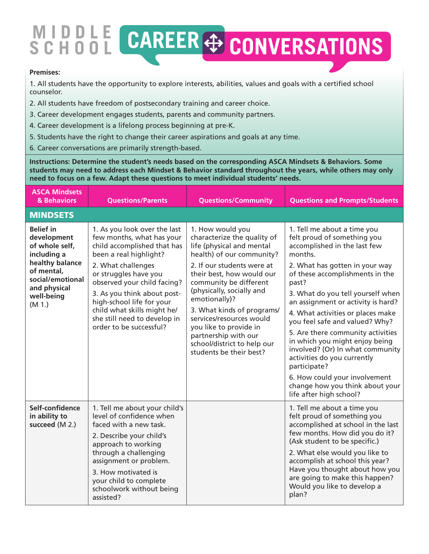## **MIDDLE SCHOOL**

## **Premises:**

1. All students have the opportunity to explore interests, abilities, values and goals with a certified school counselor.

- 2. All students have freedom of postsecondary training and career choice.
- 3. Career development engages students, parents and community partners.
- 4. Career development is a lifelong process beginning at pre-K.
- 5. Students have the right to change their career aspirations and goals at any time.
- 6. Career conversations are primarily strength-based.

**Instructions: Determine the student's needs based on the corresponding ASCA Mindsets & Behaviors. Some students may need to address each Mindset & Behavior standard throughout the years, while others may only need to focus on a few. Adapt these questions to meet individual students' needs.**

| <b>ASCA Mindsets</b><br>& Behaviors                                                                                                                           | <b>Questions/Parents</b>                                                                                                                                                                                                                                                                                                                               | <b>Questions/Community</b>                                                                                                                                                                                                                                                                                                                                                                                         | <b>Questions and Prompts/Students</b>                                                                                                                                                                                                                                                                                                                                                                                                                                                                                                                                                          |
|---------------------------------------------------------------------------------------------------------------------------------------------------------------|--------------------------------------------------------------------------------------------------------------------------------------------------------------------------------------------------------------------------------------------------------------------------------------------------------------------------------------------------------|--------------------------------------------------------------------------------------------------------------------------------------------------------------------------------------------------------------------------------------------------------------------------------------------------------------------------------------------------------------------------------------------------------------------|------------------------------------------------------------------------------------------------------------------------------------------------------------------------------------------------------------------------------------------------------------------------------------------------------------------------------------------------------------------------------------------------------------------------------------------------------------------------------------------------------------------------------------------------------------------------------------------------|
| <b>MINDSETS</b>                                                                                                                                               |                                                                                                                                                                                                                                                                                                                                                        |                                                                                                                                                                                                                                                                                                                                                                                                                    |                                                                                                                                                                                                                                                                                                                                                                                                                                                                                                                                                                                                |
| <b>Belief in</b><br>development<br>of whole self,<br>including a<br>healthy balance<br>of mental,<br>social/emotional<br>and physical<br>well-being<br>(M 1.) | 1. As you look over the last<br>few months, what has your<br>child accomplished that has<br>been a real highlight?<br>2. What challenges<br>or struggles have you<br>observed your child facing?<br>3. As you think about post-<br>high-school life for your<br>child what skills might he/<br>she still need to develop in<br>order to be successful? | 1. How would you<br>characterize the quality of<br>life (physical and mental<br>health) of our community?<br>2. If our students were at<br>their best, how would our<br>community be different<br>(physically, socially and<br>emotionally)?<br>3. What kinds of programs/<br>services/resources would<br>you like to provide in<br>partnership with our<br>school/district to help our<br>students be their best? | 1. Tell me about a time you<br>felt proud of something you<br>accomplished in the last few<br>months.<br>2. What has gotten in your way<br>of these accomplishments in the<br>past?<br>3. What do you tell yourself when<br>an assignment or activity is hard?<br>4. What activities or places make<br>you feel safe and valued? Why?<br>5. Are there community activities<br>in which you might enjoy being<br>involved? (Or) In what community<br>activities do you currently<br>participate?<br>6. How could your involvement<br>change how you think about your<br>life after high school? |
| Self-confidence<br>in ability to<br>succeed (M 2.)                                                                                                            | 1. Tell me about your child's<br>level of confidence when<br>faced with a new task.<br>2. Describe your child's<br>approach to working<br>through a challenging<br>assignment or problem.<br>3. How motivated is<br>your child to complete<br>schoolwork without being<br>assisted?                                                                    |                                                                                                                                                                                                                                                                                                                                                                                                                    | 1. Tell me about a time you<br>felt proud of something you<br>accomplished at school in the last<br>few months. How did you do it?<br>(Ask student to be specific.)<br>2. What else would you like to<br>accomplish at school this year?<br>Have you thought about how you<br>are going to make this happen?<br>Would you like to develop a<br>plan?                                                                                                                                                                                                                                           |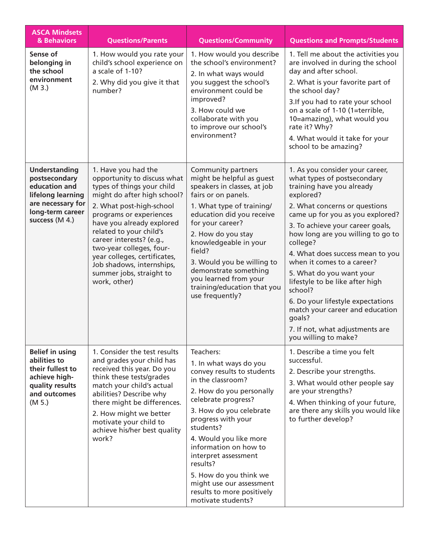| <b>ASCA Mindsets</b><br>& Behaviors                                                                                                    | <b>Questions/Parents</b>                                                                                                                                                                                                                                                                                                                                                                        | <b>Questions/Community</b>                                                                                                                                                                                                                                                                                                                                                                               | <b>Questions and Prompts/Students</b>                                                                                                                                                                                                                                                                                                                                                                                                                                                                                                                       |
|----------------------------------------------------------------------------------------------------------------------------------------|-------------------------------------------------------------------------------------------------------------------------------------------------------------------------------------------------------------------------------------------------------------------------------------------------------------------------------------------------------------------------------------------------|----------------------------------------------------------------------------------------------------------------------------------------------------------------------------------------------------------------------------------------------------------------------------------------------------------------------------------------------------------------------------------------------------------|-------------------------------------------------------------------------------------------------------------------------------------------------------------------------------------------------------------------------------------------------------------------------------------------------------------------------------------------------------------------------------------------------------------------------------------------------------------------------------------------------------------------------------------------------------------|
| Sense of<br>belonging in<br>the school<br>environment<br>(M3.)                                                                         | 1. How would you rate your<br>child's school experience on<br>a scale of 1-10?<br>2. Why did you give it that<br>number?                                                                                                                                                                                                                                                                        | 1. How would you describe<br>the school's environment?<br>2. In what ways would<br>you suggest the school's<br>environment could be<br>improved?<br>3. How could we<br>collaborate with you<br>to improve our school's<br>environment?                                                                                                                                                                   | 1. Tell me about the activities you<br>are involved in during the school<br>day and after school.<br>2. What is your favorite part of<br>the school day?<br>3.If you had to rate your school<br>on a scale of 1-10 (1=terrible,<br>10=amazing), what would you<br>rate it? Why?<br>4. What would it take for your<br>school to be amazing?                                                                                                                                                                                                                  |
| <b>Understanding</b><br>postsecondary<br>education and<br>lifelong learning<br>are necessary for<br>long-term career<br>success (M 4.) | 1. Have you had the<br>opportunity to discuss what<br>types of things your child<br>might do after high school?<br>2. What post-high-school<br>programs or experiences<br>have you already explored<br>related to your child's<br>career interests? (e.g.,<br>two-year colleges, four-<br>year colleges, certificates,<br>Job shadows, internships,<br>summer jobs, straight to<br>work, other) | Community partners<br>might be helpful as guest<br>speakers in classes, at job<br>fairs or on panels.<br>1. What type of training/<br>education did you receive<br>for your career?<br>2. How do you stay<br>knowledgeable in your<br>field?<br>3. Would you be willing to<br>demonstrate something<br>you learned from your<br>training/education that you<br>use frequently?                           | 1. As you consider your career,<br>what types of postsecondary<br>training have you already<br>explored?<br>2. What concerns or questions<br>came up for you as you explored?<br>3. To achieve your career goals,<br>how long are you willing to go to<br>college?<br>4. What does success mean to you<br>when it comes to a career?<br>5. What do you want your<br>lifestyle to be like after high<br>school?<br>6. Do your lifestyle expectations<br>match your career and education<br>goals?<br>7. If not, what adjustments are<br>you willing to make? |
| <b>Belief in using</b><br>abilities to<br>their fullest to<br>achieve high-<br>quality results<br>and outcomes<br>(M 5.)               | 1. Consider the test results<br>and grades your child has<br>received this year. Do you<br>think these tests/grades<br>match your child's actual<br>abilities? Describe why<br>there might be differences.<br>2. How might we better<br>motivate your child to<br>achieve his/her best quality<br>work?                                                                                         | Teachers:<br>1. In what ways do you<br>convey results to students<br>in the classroom?<br>2. How do you personally<br>celebrate progress?<br>3. How do you celebrate<br>progress with your<br>students?<br>4. Would you like more<br>information on how to<br>interpret assessment<br>results?<br>5. How do you think we<br>might use our assessment<br>results to more positively<br>motivate students? | 1. Describe a time you felt<br>successful.<br>2. Describe your strengths.<br>3. What would other people say<br>are your strengths?<br>4. When thinking of your future,<br>are there any skills you would like<br>to further develop?                                                                                                                                                                                                                                                                                                                        |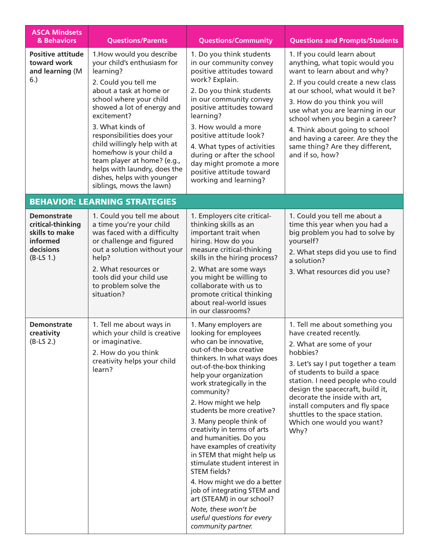| <b>ASCA Mindsets</b><br>& Behaviors                                                               | <b>Questions/Parents</b>                                                                                                                                                                                                                                                                                                                                                                                                                | <b>Questions/Community</b>                                                                                                                                                                                                                                                                                                                                                                                                                                                                                                                                                                                                                                         | <b>Questions and Prompts/Students</b>                                                                                                                                                                                                                                                                                                                                                                       |
|---------------------------------------------------------------------------------------------------|-----------------------------------------------------------------------------------------------------------------------------------------------------------------------------------------------------------------------------------------------------------------------------------------------------------------------------------------------------------------------------------------------------------------------------------------|--------------------------------------------------------------------------------------------------------------------------------------------------------------------------------------------------------------------------------------------------------------------------------------------------------------------------------------------------------------------------------------------------------------------------------------------------------------------------------------------------------------------------------------------------------------------------------------------------------------------------------------------------------------------|-------------------------------------------------------------------------------------------------------------------------------------------------------------------------------------------------------------------------------------------------------------------------------------------------------------------------------------------------------------------------------------------------------------|
| <b>Positive attitude</b><br>toward work<br>and learning (M<br>6.)                                 | 1. How would you describe<br>your child's enthusiasm for<br>learning?<br>2. Could you tell me<br>about a task at home or<br>school where your child<br>showed a lot of energy and<br>excitement?<br>3. What kinds of<br>responsibilities does your<br>child willingly help with at<br>home/how is your child a<br>team player at home? (e.g.,<br>helps with laundry, does the<br>dishes, helps with younger<br>siblings, mows the lawn) | 1. Do you think students<br>in our community convey<br>positive attitudes toward<br>work? Explain.<br>2. Do you think students<br>in our community convey<br>positive attitudes toward<br>learning?<br>3. How would a more<br>positive attitude look?<br>4. What types of activities<br>during or after the school<br>day might promote a more<br>positive attitude toward<br>working and learning?                                                                                                                                                                                                                                                                | 1. If you could learn about<br>anything, what topic would you<br>want to learn about and why?<br>2. If you could create a new class<br>at our school, what would it be?<br>3. How do you think you will<br>use what you are learning in our<br>school when you begin a career?<br>4. Think about going to school<br>and having a career. Are they the<br>same thing? Are they different,<br>and if so, how? |
|                                                                                                   | <b>BEHAVIOR: LEARNING STRATEGIES</b>                                                                                                                                                                                                                                                                                                                                                                                                    |                                                                                                                                                                                                                                                                                                                                                                                                                                                                                                                                                                                                                                                                    |                                                                                                                                                                                                                                                                                                                                                                                                             |
| <b>Demonstrate</b><br>critical-thinking<br>skills to make<br>informed<br>decisions<br>$(B-LS 1.)$ | 1. Could you tell me about<br>a time you're your child<br>was faced with a difficulty<br>or challenge and figured<br>out a solution without your<br>help?<br>2. What resources or<br>tools did your child use<br>to problem solve the<br>situation?                                                                                                                                                                                     | 1. Employers cite critical-<br>thinking skills as an<br>important trait when<br>hiring. How do you<br>measure critical-thinking<br>skills in the hiring process?<br>2. What are some ways<br>you might be willing to<br>collaborate with us to<br>promote critical thinking<br>about real-world issues<br>in our classrooms?                                                                                                                                                                                                                                                                                                                                       | 1. Could you tell me about a<br>time this year when you had a<br>big problem you had to solve by<br>yourself?<br>2. What steps did you use to find<br>a solution?<br>3. What resources did you use?                                                                                                                                                                                                         |
| <b>Demonstrate</b><br>creativity<br>$(B-LS 2.)$                                                   | 1. Tell me about ways in<br>which your child is creative<br>or imaginative.<br>2. How do you think<br>creativity helps your child<br>learn?                                                                                                                                                                                                                                                                                             | 1. Many employers are<br>looking for employees<br>who can be innovative,<br>out-of-the-box creative<br>thinkers. In what ways does<br>out-of-the-box thinking<br>help your organization<br>work strategically in the<br>community?<br>2. How might we help<br>students be more creative?<br>3. Many people think of<br>creativity in terms of arts<br>and humanities. Do you<br>have examples of creativity<br>in STEM that might help us<br>stimulate student interest in<br>STEM fields?<br>4. How might we do a better<br>job of integrating STEM and<br>art (STEAM) in our school?<br>Note, these won't be<br>useful questions for every<br>community partner. | 1. Tell me about something you<br>have created recently.<br>2. What are some of your<br>hobbies?<br>3. Let's say I put together a team<br>of students to build a space<br>station. I need people who could<br>design the spacecraft, build it,<br>decorate the inside with art,<br>install computers and fly space<br>shuttles to the space station.<br>Which one would you want?<br>Why?                   |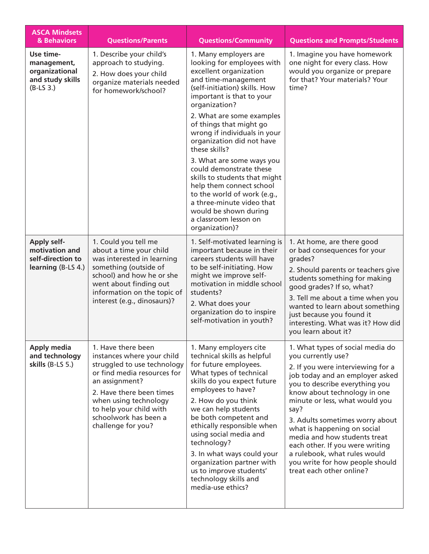| <b>ASCA Mindsets</b><br>& Behaviors                                             | <b>Questions/Parents</b>                                                                                                                                                                                                                                        | <b>Questions/Community</b>                                                                                                                                                                                                                                                                                                                                                                                                                                                                                                                                   | <b>Questions and Prompts/Students</b>                                                                                                                                                                                                                                                                                                                                                                                                                                          |
|---------------------------------------------------------------------------------|-----------------------------------------------------------------------------------------------------------------------------------------------------------------------------------------------------------------------------------------------------------------|--------------------------------------------------------------------------------------------------------------------------------------------------------------------------------------------------------------------------------------------------------------------------------------------------------------------------------------------------------------------------------------------------------------------------------------------------------------------------------------------------------------------------------------------------------------|--------------------------------------------------------------------------------------------------------------------------------------------------------------------------------------------------------------------------------------------------------------------------------------------------------------------------------------------------------------------------------------------------------------------------------------------------------------------------------|
| Use time-<br>management,<br>organizational<br>and study skills<br>$(B-LS3.)$    | 1. Describe your child's<br>approach to studying.<br>2. How does your child<br>organize materials needed<br>for homework/school?                                                                                                                                | 1. Many employers are<br>looking for employees with<br>excellent organization<br>and time-management<br>(self-initiation) skills. How<br>important is that to your<br>organization?<br>2. What are some examples<br>of things that might go<br>wrong if individuals in your<br>organization did not have<br>these skills?<br>3. What are some ways you<br>could demonstrate these<br>skills to students that might<br>help them connect school<br>to the world of work (e.g.,<br>a three-minute video that<br>would be shown during<br>a classroom lesson on | 1. Imagine you have homework<br>one night for every class. How<br>would you organize or prepare<br>for that? Your materials? Your<br>time?                                                                                                                                                                                                                                                                                                                                     |
| <b>Apply self-</b><br>motivation and<br>self-direction to<br>learning (B-LS 4.) | 1. Could you tell me<br>about a time your child<br>was interested in learning<br>something (outside of<br>school) and how he or she<br>went about finding out<br>information on the topic of<br>interest (e.g., dinosaurs)?                                     | organization)?<br>1. Self-motivated learning is<br>important because in their<br>careers students will have<br>to be self-initiating. How<br>might we improve self-<br>motivation in middle school<br>students?<br>2. What does your<br>organization do to inspire<br>self-motivation in youth?                                                                                                                                                                                                                                                              | 1. At home, are there good<br>or bad consequences for your<br>grades?<br>2. Should parents or teachers give<br>students something for making<br>good grades? If so, what?<br>3. Tell me about a time when you<br>wanted to learn about something<br>just because you found it<br>interesting. What was it? How did<br>you learn about it?                                                                                                                                      |
| <b>Apply media</b><br>and technology<br>skills $(B-LS 5.)$                      | 1. Have there been<br>instances where your child<br>struggled to use technology<br>or find media resources for<br>an assignment?<br>2. Have there been times<br>when using technology<br>to help your child with<br>schoolwork has been a<br>challenge for you? | 1. Many employers cite<br>technical skills as helpful<br>for future employees.<br>What types of technical<br>skills do you expect future<br>employees to have?<br>2. How do you think<br>we can help students<br>be both competent and<br>ethically responsible when<br>using social media and<br>technology?<br>3. In what ways could your<br>organization partner with<br>us to improve students'<br>technology skills and<br>media-use ethics?                                                                                                            | 1. What types of social media do<br>you currently use?<br>2. If you were interviewing for a<br>job today and an employer asked<br>you to describe everything you<br>know about technology in one<br>minute or less, what would you<br>say?<br>3. Adults sometimes worry about<br>what is happening on social<br>media and how students treat<br>each other. If you were writing<br>a rulebook, what rules would<br>you write for how people should<br>treat each other online? |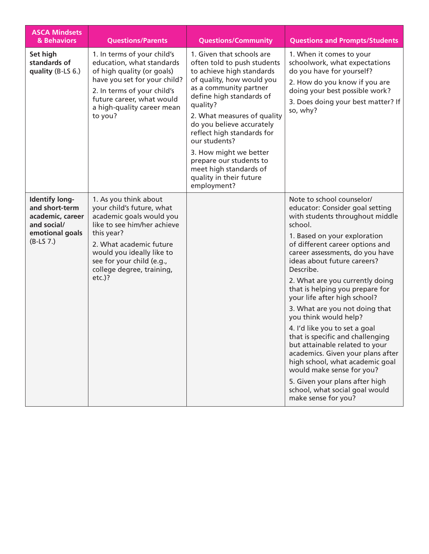| <b>ASCA Mindsets</b><br>& Behaviors                                                                          | <b>Questions/Parents</b>                                                                                                                                                                                                                                   | <b>Questions/Community</b>                                                                                                                                                                                                                                                                                                                                                                                               | <b>Questions and Prompts/Students</b>                                                                                                                                                                                                                                                                                                                                                                                                                                                                                                                                                                                                                                                                                                |
|--------------------------------------------------------------------------------------------------------------|------------------------------------------------------------------------------------------------------------------------------------------------------------------------------------------------------------------------------------------------------------|--------------------------------------------------------------------------------------------------------------------------------------------------------------------------------------------------------------------------------------------------------------------------------------------------------------------------------------------------------------------------------------------------------------------------|--------------------------------------------------------------------------------------------------------------------------------------------------------------------------------------------------------------------------------------------------------------------------------------------------------------------------------------------------------------------------------------------------------------------------------------------------------------------------------------------------------------------------------------------------------------------------------------------------------------------------------------------------------------------------------------------------------------------------------------|
| Set high<br>standards of<br>quality (B-LS 6.)                                                                | 1. In terms of your child's<br>education, what standards<br>of high quality (or goals)<br>have you set for your child?<br>2. In terms of your child's<br>future career, what would<br>a high-quality career mean<br>to you?                                | 1. Given that schools are<br>often told to push students<br>to achieve high standards<br>of quality, how would you<br>as a community partner<br>define high standards of<br>quality?<br>2. What measures of quality<br>do you believe accurately<br>reflect high standards for<br>our students?<br>3. How might we better<br>prepare our students to<br>meet high standards of<br>quality in their future<br>employment? | 1. When it comes to your<br>schoolwork, what expectations<br>do you have for yourself?<br>2. How do you know if you are<br>doing your best possible work?<br>3. Does doing your best matter? If<br>so, why?                                                                                                                                                                                                                                                                                                                                                                                                                                                                                                                          |
| <b>Identify long-</b><br>and short-term<br>academic, career<br>and social/<br>emotional goals<br>$(B-LS 7.)$ | 1. As you think about<br>your child's future, what<br>academic goals would you<br>like to see him/her achieve<br>this year?<br>2. What academic future<br>would you ideally like to<br>see for your child (e.g.,<br>college degree, training,<br>$etc.$ )? |                                                                                                                                                                                                                                                                                                                                                                                                                          | Note to school counselor/<br>educator: Consider goal setting<br>with students throughout middle<br>school.<br>1. Based on your exploration<br>of different career options and<br>career assessments, do you have<br>ideas about future careers?<br>Describe.<br>2. What are you currently doing<br>that is helping you prepare for<br>your life after high school?<br>3. What are you not doing that<br>you think would help?<br>4. I'd like you to set a goal<br>that is specific and challenging<br>but attainable related to your<br>academics. Given your plans after<br>high school, what academic goal<br>would make sense for you?<br>5. Given your plans after high<br>school, what social goal would<br>make sense for you? |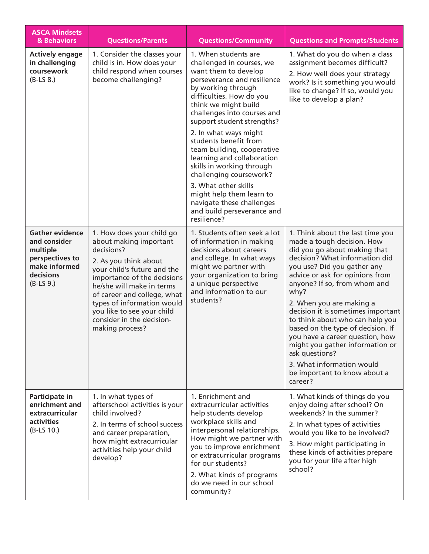| <b>ASCA Mindsets</b><br>& Behaviors                                                                                | <b>Questions/Parents</b>                                                                                                                                                                                                                                                                                                         | <b>Questions/Community</b>                                                                                                                                                                                                                                                                                                                                                                                                                                                                                                                          | <b>Questions and Prompts/Students</b>                                                                                                                                                                                                                                                                                                                                                                                                                                                                                                                |
|--------------------------------------------------------------------------------------------------------------------|----------------------------------------------------------------------------------------------------------------------------------------------------------------------------------------------------------------------------------------------------------------------------------------------------------------------------------|-----------------------------------------------------------------------------------------------------------------------------------------------------------------------------------------------------------------------------------------------------------------------------------------------------------------------------------------------------------------------------------------------------------------------------------------------------------------------------------------------------------------------------------------------------|------------------------------------------------------------------------------------------------------------------------------------------------------------------------------------------------------------------------------------------------------------------------------------------------------------------------------------------------------------------------------------------------------------------------------------------------------------------------------------------------------------------------------------------------------|
| <b>Actively engage</b><br>in challenging<br>coursework<br>$(B-LS 8.)$                                              | 1. Consider the classes your<br>child is in. How does your<br>child respond when courses<br>become challenging?                                                                                                                                                                                                                  | 1. When students are<br>challenged in courses, we<br>want them to develop<br>perseverance and resilience<br>by working through<br>difficulties. How do you<br>think we might build<br>challenges into courses and<br>support student strengths?<br>2. In what ways might<br>students benefit from<br>team building, cooperative<br>learning and collaboration<br>skills in working through<br>challenging coursework?<br>3. What other skills<br>might help them learn to<br>navigate these challenges<br>and build perseverance and<br>resilience? | 1. What do you do when a class<br>assignment becomes difficult?<br>2. How well does your strategy<br>work? Is it something you would<br>like to change? If so, would you<br>like to develop a plan?                                                                                                                                                                                                                                                                                                                                                  |
| <b>Gather evidence</b><br>and consider<br>multiple<br>perspectives to<br>make informed<br>decisions<br>$(B-LS 9.)$ | 1. How does your child go<br>about making important<br>decisions?<br>2. As you think about<br>your child's future and the<br>importance of the decisions<br>he/she will make in terms<br>of career and college, what<br>types of information would<br>you like to see your child<br>consider in the decision-<br>making process? | 1. Students often seek a lot<br>of information in making<br>decisions about careers<br>and college. In what ways<br>might we partner with<br>your organization to bring<br>a unique perspective<br>and information to our<br>students?                                                                                                                                                                                                                                                                                                              | 1. Think about the last time you<br>made a tough decision. How<br>did you go about making that<br>decision? What information did<br>you use? Did you gather any<br>advice or ask for opinions from<br>anyone? If so, from whom and<br>why?<br>2. When you are making a<br>decision it is sometimes important<br>to think about who can help you<br>based on the type of decision. If<br>you have a career question, how<br>might you gather information or<br>ask questions?<br>3. What information would<br>be important to know about a<br>career? |
| Participate in<br>enrichment and<br>extracurricular<br><b>activities</b><br>$(B-LS 10.)$                           | 1. In what types of<br>afterschool activities is your<br>child involved?<br>2. In terms of school success<br>and career preparation,<br>how might extracurricular<br>activities help your child<br>develop?                                                                                                                      | 1. Enrichment and<br>extracurricular activities<br>help students develop<br>workplace skills and<br>interpersonal relationships.<br>How might we partner with<br>you to improve enrichment<br>or extracurricular programs<br>for our students?<br>2. What kinds of programs<br>do we need in our school<br>community?                                                                                                                                                                                                                               | 1. What kinds of things do you<br>enjoy doing after school? On<br>weekends? In the summer?<br>2. In what types of activities<br>would you like to be involved?<br>3. How might participating in<br>these kinds of activities prepare<br>you for your life after high<br>school?                                                                                                                                                                                                                                                                      |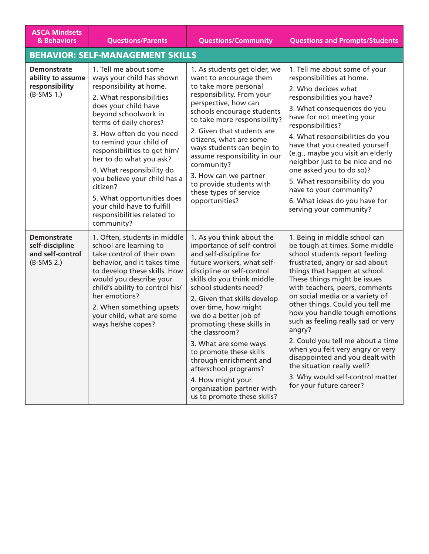| <b>ASCA Mindsets</b><br>& Behaviors                                       | <b>Questions/Parents</b>                                                                                                                                                                                                                                                                                                                                                                                                                                                                | <b>Questions/Community</b>                                                                                                                                                                                                                                                                                                                                                                                                                                                                                                    | <b>Questions and Prompts/Students</b>                                                                                                                                                                                                                                                                                                                                                                                                                                                                                                                                                                  |
|---------------------------------------------------------------------------|-----------------------------------------------------------------------------------------------------------------------------------------------------------------------------------------------------------------------------------------------------------------------------------------------------------------------------------------------------------------------------------------------------------------------------------------------------------------------------------------|-------------------------------------------------------------------------------------------------------------------------------------------------------------------------------------------------------------------------------------------------------------------------------------------------------------------------------------------------------------------------------------------------------------------------------------------------------------------------------------------------------------------------------|--------------------------------------------------------------------------------------------------------------------------------------------------------------------------------------------------------------------------------------------------------------------------------------------------------------------------------------------------------------------------------------------------------------------------------------------------------------------------------------------------------------------------------------------------------------------------------------------------------|
|                                                                           | <b>BEHAVIOR: SELF-MANAGEMENT SKILLS</b>                                                                                                                                                                                                                                                                                                                                                                                                                                                 |                                                                                                                                                                                                                                                                                                                                                                                                                                                                                                                               |                                                                                                                                                                                                                                                                                                                                                                                                                                                                                                                                                                                                        |
| <b>Demonstrate</b><br>ability to assume<br>responsibility<br>$(B-SMS 1.)$ | 1. Tell me about some<br>ways your child has shown<br>responsibility at home.<br>2. What responsibilities<br>does your child have<br>beyond schoolwork in<br>terms of daily chores?<br>3. How often do you need<br>to remind your child of<br>responsibilities to get him/<br>her to do what you ask?<br>4. What responsibility do<br>you believe your child has a<br>citizen?<br>5. What opportunities does<br>your child have to fulfill<br>responsibilities related to<br>community? | 1. As students get older, we<br>want to encourage them<br>to take more personal<br>responsibility. From your<br>perspective, how can<br>schools encourage students<br>to take more responsibility?<br>2. Given that students are<br>citizens, what are some<br>ways students can begin to<br>assume responsibility in our<br>community?<br>3. How can we partner<br>to provide students with<br>these types of service<br>opportunities?                                                                                      | 1. Tell me about some of your<br>responsibilities at home.<br>2. Who decides what<br>responsibilities you have?<br>3. What consequences do you<br>have for not meeting your<br>responsibilities?<br>4. What responsibilities do you<br>have that you created yourself<br>(e.g., maybe you visit an elderly<br>neighbor just to be nice and no<br>one asked you to do so)?<br>5. What responsibility do you<br>have to your community?<br>6. What ideas do you have for<br>serving your community?                                                                                                      |
| <b>Demonstrate</b><br>self-discipline<br>and self-control<br>$(B-SMS 2.)$ | 1. Often, students in middle<br>school are learning to<br>take control of their own<br>behavior, and it takes time<br>to develop these skills. How<br>would you describe your<br>child's ability to control his/<br>her emotions?<br>2. When something upsets<br>your child, what are some<br>ways he/she copes?                                                                                                                                                                        | 1. As you think about the<br>importance of self-control<br>and self-discipline for<br>future workers, what self-<br>discipline or self-control<br>skills do you think middle<br>school students need?<br>2. Given that skills develop<br>over time, how might<br>we do a better job of<br>promoting these skills in<br>the classroom?<br>3. What are some ways<br>to promote these skills<br>through enrichment and<br>afterschool programs?<br>4. How might your<br>organization partner with<br>us to promote these skills? | 1. Being in middle school can<br>be tough at times. Some middle<br>school students report feeling<br>frustrated, angry or sad about<br>things that happen at school.<br>These things might be issues<br>with teachers, peers, comments<br>on social media or a variety of<br>other things. Could you tell me<br>how you handle tough emotions<br>such as feeling really sad or very<br>angry?<br>2. Could you tell me about a time<br>when you felt very angry or very<br>disappointed and you dealt with<br>the situation really well?<br>3. Why would self-control matter<br>for your future career? |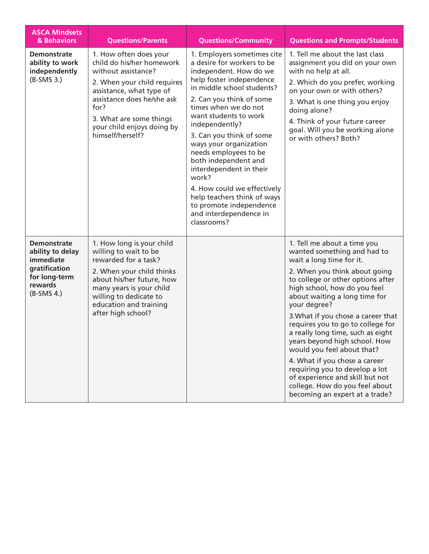| <b>ASCA Mindsets</b><br>& Behaviors                                                                                     | <b>Questions/Parents</b>                                                                                                                                                                                                                                 | <b>Questions/Community</b>                                                                                                                                                                                                                                                                                                                                                                                                                                                                                                | <b>Questions and Prompts/Students</b>                                                                                                                                                                                                                                                                                                                                                                                                                                                                                                                                                                  |
|-------------------------------------------------------------------------------------------------------------------------|----------------------------------------------------------------------------------------------------------------------------------------------------------------------------------------------------------------------------------------------------------|---------------------------------------------------------------------------------------------------------------------------------------------------------------------------------------------------------------------------------------------------------------------------------------------------------------------------------------------------------------------------------------------------------------------------------------------------------------------------------------------------------------------------|--------------------------------------------------------------------------------------------------------------------------------------------------------------------------------------------------------------------------------------------------------------------------------------------------------------------------------------------------------------------------------------------------------------------------------------------------------------------------------------------------------------------------------------------------------------------------------------------------------|
| <b>Demonstrate</b><br>ability to work<br>independently<br>$(B-SMS 3.)$                                                  | 1. How often does your<br>child do his/her homework<br>without assistance?<br>2. When your child requires<br>assistance, what type of<br>assistance does he/she ask<br>for?<br>3. What are some things<br>your child enjoys doing by<br>himself/herself? | 1. Employers sometimes cite<br>a desire for workers to be<br>independent. How do we<br>help foster independence<br>in middle school students?<br>2. Can you think of some<br>times when we do not<br>want students to work<br>independently?<br>3. Can you think of some<br>ways your organization<br>needs employees to be<br>both independent and<br>interdependent in their<br>work?<br>4. How could we effectively<br>help teachers think of ways<br>to promote independence<br>and interdependence in<br>classrooms? | 1. Tell me about the last class<br>assignment you did on your own<br>with no help at all.<br>2. Which do you prefer, working<br>on your own or with others?<br>3. What is one thing you enjoy<br>doing alone?<br>4. Think of your future career<br>goal. Will you be working alone<br>or with others? Both?                                                                                                                                                                                                                                                                                            |
| <b>Demonstrate</b><br>ability to delay<br><i>immediate</i><br>gratification<br>for long-term<br>rewards<br>$(B-SMS 4.)$ | 1. How long is your child<br>willing to wait to be<br>rewarded for a task?<br>2. When your child thinks<br>about his/her future, how<br>many years is your child<br>willing to dedicate to<br>education and training<br>after high school?               |                                                                                                                                                                                                                                                                                                                                                                                                                                                                                                                           | 1. Tell me about a time you<br>wanted something and had to<br>wait a long time for it.<br>2. When you think about going<br>to college or other options after<br>high school, how do you feel<br>about waiting a long time for<br>your degree?<br>3. What if you chose a career that<br>requires you to go to college for<br>a really long time, such as eight<br>years beyond high school. How<br>would you feel about that?<br>4. What if you chose a career<br>requiring you to develop a lot<br>of experience and skill but not<br>college. How do you feel about<br>becoming an expert at a trade? |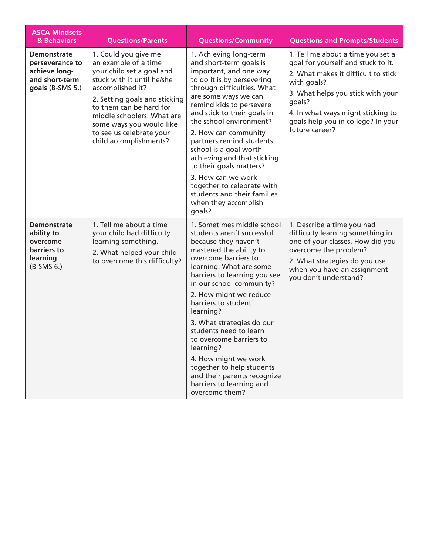| <b>ASCA Mindsets</b><br>& Behaviors                                                          | <b>Questions/Parents</b>                                                                                                                                                                                                                                                                                | <b>Questions/Community</b>                                                                                                                                                                                                                                                                                                                                                                                                                                                                                                | <b>Questions and Prompts/Students</b>                                                                                                                                                                                                                                     |
|----------------------------------------------------------------------------------------------|---------------------------------------------------------------------------------------------------------------------------------------------------------------------------------------------------------------------------------------------------------------------------------------------------------|---------------------------------------------------------------------------------------------------------------------------------------------------------------------------------------------------------------------------------------------------------------------------------------------------------------------------------------------------------------------------------------------------------------------------------------------------------------------------------------------------------------------------|---------------------------------------------------------------------------------------------------------------------------------------------------------------------------------------------------------------------------------------------------------------------------|
| <b>Demonstrate</b><br>perseverance to<br>achieve long-<br>and short-term<br>goals (B-SMS 5.) | 1. Could you give me<br>an example of a time<br>your child set a goal and<br>stuck with it until he/she<br>accomplished it?<br>2. Setting goals and sticking<br>to them can be hard for<br>middle schoolers. What are<br>some ways you would like<br>to see us celebrate your<br>child accomplishments? | 1. Achieving long-term<br>and short-term goals is<br>important, and one way<br>to do it is by persevering<br>through difficulties. What<br>are some ways we can<br>remind kids to persevere<br>and stick to their goals in<br>the school environment?<br>2. How can community<br>partners remind students<br>school is a goal worth<br>achieving and that sticking<br>to their goals matters?<br>3. How can we work<br>together to celebrate with<br>students and their families<br>when they accomplish<br>goals?        | 1. Tell me about a time you set a<br>goal for yourself and stuck to it.<br>2. What makes it difficult to stick<br>with goals?<br>3. What helps you stick with your<br>goals?<br>4. In what ways might sticking to<br>goals help you in college? In your<br>future career? |
| <b>Demonstrate</b><br>ability to<br>overcome<br>barriers to<br>learning<br>$(B-SMS 6.)$      | 1. Tell me about a time<br>your child had difficulty<br>learning something.<br>2. What helped your child<br>to overcome this difficulty?                                                                                                                                                                | 1. Sometimes middle school<br>students aren't successful<br>because they haven't<br>mastered the ability to<br>overcome barriers to<br>learning. What are some<br>barriers to learning you see<br>in our school community?<br>2. How might we reduce<br>barriers to student<br>learning?<br>3. What strategies do our<br>students need to learn<br>to overcome barriers to<br>learning?<br>4. How might we work<br>together to help students<br>and their parents recognize<br>barriers to learning and<br>overcome them? | 1. Describe a time you had<br>difficulty learning something in<br>one of your classes. How did you<br>overcome the problem?<br>2. What strategies do you use<br>when you have an assignment<br>you don't understand?                                                      |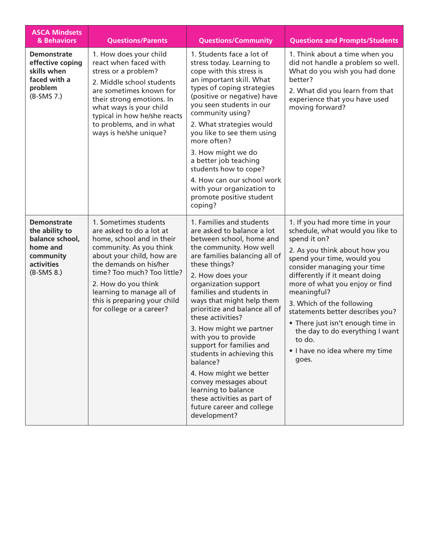| <b>ASCA Mindsets</b><br>& Behaviors                                                                            | <b>Questions/Parents</b>                                                                                                                                                                                                                                                                                        | <b>Questions/Community</b>                                                                                                                                                                                                                                                                                                                                                                                                                                                                                                                                                                               | <b>Questions and Prompts/Students</b>                                                                                                                                                                                                                                                                                                                                                                                                                             |
|----------------------------------------------------------------------------------------------------------------|-----------------------------------------------------------------------------------------------------------------------------------------------------------------------------------------------------------------------------------------------------------------------------------------------------------------|----------------------------------------------------------------------------------------------------------------------------------------------------------------------------------------------------------------------------------------------------------------------------------------------------------------------------------------------------------------------------------------------------------------------------------------------------------------------------------------------------------------------------------------------------------------------------------------------------------|-------------------------------------------------------------------------------------------------------------------------------------------------------------------------------------------------------------------------------------------------------------------------------------------------------------------------------------------------------------------------------------------------------------------------------------------------------------------|
| <b>Demonstrate</b><br>effective coping<br>skills when<br>faced with a<br>problem<br>(B-SMS 7.)                 | 1. How does your child<br>react when faced with<br>stress or a problem?<br>2. Middle school students<br>are sometimes known for<br>their strong emotions. In<br>what ways is your child<br>typical in how he/she reacts<br>to problems, and in what<br>ways is he/she unique?                                   | 1. Students face a lot of<br>stress today. Learning to<br>cope with this stress is<br>an important skill. What<br>types of coping strategies<br>(positive or negative) have<br>you seen students in our<br>community using?<br>2. What strategies would<br>you like to see them using<br>more often?<br>3. How might we do<br>a better job teaching<br>students how to cope?<br>4. How can our school work<br>with your organization to<br>promote positive student<br>coping?                                                                                                                           | 1. Think about a time when you<br>did not handle a problem so well.<br>What do you wish you had done<br>better?<br>2. What did you learn from that<br>experience that you have used<br>moving forward?                                                                                                                                                                                                                                                            |
| <b>Demonstrate</b><br>the ability to<br>balance school,<br>home and<br>community<br>activities<br>$(B-SMS 8.)$ | 1. Sometimes students<br>are asked to do a lot at<br>home, school and in their<br>community. As you think<br>about your child, how are<br>the demands on his/her<br>time? Too much? Too little?<br>2. How do you think<br>learning to manage all of<br>this is preparing your child<br>for college or a career? | 1. Families and students<br>are asked to balance a lot<br>between school, home and<br>the community. How well<br>are families balancing all of<br>these things?<br>2. How does your<br>organization support<br>families and students in<br>ways that might help them<br>prioritize and balance all of<br>these activities?<br>3. How might we partner<br>with you to provide<br>support for families and<br>students in achieving this<br>balance?<br>4. How might we better<br>convey messages about<br>learning to balance<br>these activities as part of<br>future career and college<br>development? | 1. If you had more time in your<br>schedule, what would you like to<br>spend it on?<br>2. As you think about how you<br>spend your time, would you<br>consider managing your time<br>differently if it meant doing<br>more of what you enjoy or find<br>meaningful?<br>3. Which of the following<br>statements better describes you?<br>• There just isn't enough time in<br>the day to do everything I want<br>to do.<br>• I have no idea where my time<br>goes. |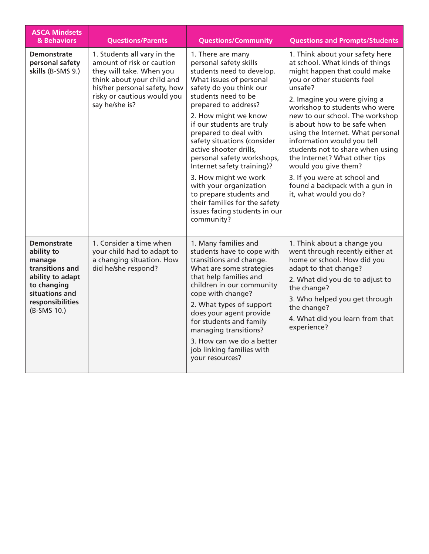| <b>ASCA Mindsets</b><br>& Behaviors                                                                                                                   | <b>Questions/Parents</b>                                                                                                                                                                            | <b>Questions/Community</b>                                                                                                                                                                                                                                                                                                                                                                                                                                                                                                                    | <b>Questions and Prompts/Students</b>                                                                                                                                                                                                                                                                                                                                                                                                                                                                                                       |
|-------------------------------------------------------------------------------------------------------------------------------------------------------|-----------------------------------------------------------------------------------------------------------------------------------------------------------------------------------------------------|-----------------------------------------------------------------------------------------------------------------------------------------------------------------------------------------------------------------------------------------------------------------------------------------------------------------------------------------------------------------------------------------------------------------------------------------------------------------------------------------------------------------------------------------------|---------------------------------------------------------------------------------------------------------------------------------------------------------------------------------------------------------------------------------------------------------------------------------------------------------------------------------------------------------------------------------------------------------------------------------------------------------------------------------------------------------------------------------------------|
| <b>Demonstrate</b><br>personal safety<br>skills (B-SMS 9.)                                                                                            | 1. Students all vary in the<br>amount of risk or caution<br>they will take. When you<br>think about your child and<br>his/her personal safety, how<br>risky or cautious would you<br>say he/she is? | 1. There are many<br>personal safety skills<br>students need to develop.<br>What issues of personal<br>safety do you think our<br>students need to be<br>prepared to address?<br>2. How might we know<br>if our students are truly<br>prepared to deal with<br>safety situations (consider<br>active shooter drills,<br>personal safety workshops,<br>Internet safety training)?<br>3. How might we work<br>with your organization<br>to prepare students and<br>their families for the safety<br>issues facing students in our<br>community? | 1. Think about your safety here<br>at school. What kinds of things<br>might happen that could make<br>you or other students feel<br>unsafe?<br>2. Imagine you were giving a<br>workshop to students who were<br>new to our school. The workshop<br>is about how to be safe when<br>using the Internet. What personal<br>information would you tell<br>students not to share when using<br>the Internet? What other tips<br>would you give them?<br>3. If you were at school and<br>found a backpack with a gun in<br>it, what would you do? |
| <b>Demonstrate</b><br>ability to<br>manage<br>transitions and<br>ability to adapt<br>to changing<br>situations and<br>responsibilities<br>(B-SMS 10.) | 1. Consider a time when<br>your child had to adapt to<br>a changing situation. How<br>did he/she respond?                                                                                           | 1. Many families and<br>students have to cope with<br>transitions and change.<br>What are some strategies<br>that help families and<br>children in our community<br>cope with change?<br>2. What types of support<br>does your agent provide<br>for students and family<br>managing transitions?<br>3. How can we do a better<br>job linking families with<br>your resources?                                                                                                                                                                 | 1. Think about a change you<br>went through recently either at<br>home or school. How did you<br>adapt to that change?<br>2. What did you do to adjust to<br>the change?<br>3. Who helped you get through<br>the change?<br>4. What did you learn from that<br>experience?                                                                                                                                                                                                                                                                  |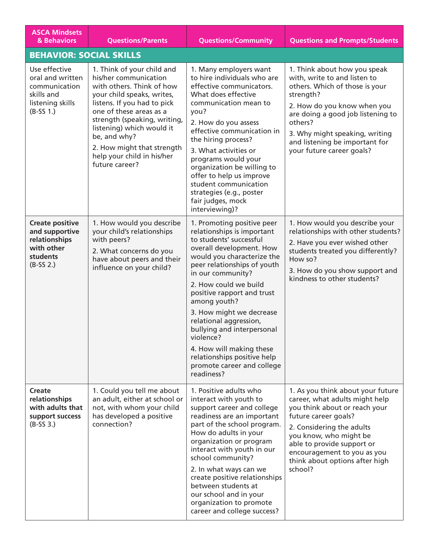| <b>ASCA Mindsets</b><br>& Behaviors                                                                 | <b>Questions/Parents</b>                                                                                                                                                                                                                                                                                                            | <b>Questions/Community</b>                                                                                                                                                                                                                                                                                                                                                                                                                                                       | <b>Questions and Prompts/Students</b>                                                                                                                                                                                                                                                         |
|-----------------------------------------------------------------------------------------------------|-------------------------------------------------------------------------------------------------------------------------------------------------------------------------------------------------------------------------------------------------------------------------------------------------------------------------------------|----------------------------------------------------------------------------------------------------------------------------------------------------------------------------------------------------------------------------------------------------------------------------------------------------------------------------------------------------------------------------------------------------------------------------------------------------------------------------------|-----------------------------------------------------------------------------------------------------------------------------------------------------------------------------------------------------------------------------------------------------------------------------------------------|
| <b>BEHAVIOR: SOCIAL SKILLS</b>                                                                      |                                                                                                                                                                                                                                                                                                                                     |                                                                                                                                                                                                                                                                                                                                                                                                                                                                                  |                                                                                                                                                                                                                                                                                               |
| Use effective<br>oral and written<br>communication<br>skills and<br>listening skills<br>$(B-SS 1.)$ | 1. Think of your child and<br>his/her communication<br>with others. Think of how<br>your child speaks, writes,<br>listens. If you had to pick<br>one of these areas as a<br>strength (speaking, writing,<br>listening) which would it<br>be, and why?<br>2. How might that strength<br>help your child in his/her<br>future career? | 1. Many employers want<br>to hire individuals who are<br>effective communicators.<br>What does effective<br>communication mean to<br>you?<br>2. How do you assess<br>effective communication in<br>the hiring process?<br>3. What activities or<br>programs would your<br>organization be willing to<br>offer to help us improve<br>student communication<br>strategies (e.g., poster<br>fair judges, mock<br>interviewing)?                                                     | 1. Think about how you speak<br>with, write to and listen to<br>others. Which of those is your<br>strength?<br>2. How do you know when you<br>are doing a good job listening to<br>others?<br>3. Why might speaking, writing<br>and listening be important for<br>your future career goals?   |
| <b>Create positive</b><br>and supportive<br>relationships<br>with other<br>students<br>$(B-SS 2.)$  | 1. How would you describe<br>your child's relationships<br>with peers?<br>2. What concerns do you<br>have about peers and their<br>influence on your child?                                                                                                                                                                         | 1. Promoting positive peer<br>relationships is important<br>to students' successful<br>overall development. How<br>would you characterize the<br>peer relationships of youth<br>in our community?<br>2. How could we build<br>positive rapport and trust<br>among youth?<br>3. How might we decrease<br>relational aggression,<br>bullying and interpersonal<br>violence?<br>4. How will making these<br>relationships positive help<br>promote career and college<br>readiness? | 1. How would you describe your<br>relationships with other students?<br>2. Have you ever wished other<br>students treated you differently?<br>How so?<br>3. How do you show support and<br>kindness to other students?                                                                        |
| <b>Create</b><br>relationships<br>with adults that<br>support success<br>$(B-SS 3.)$                | 1. Could you tell me about<br>an adult, either at school or<br>not, with whom your child<br>has developed a positive<br>connection?                                                                                                                                                                                                 | 1. Positive adults who<br>interact with youth to<br>support career and college<br>readiness are an important<br>part of the school program.<br>How do adults in your<br>organization or program<br>interact with youth in our<br>school community?<br>2. In what ways can we<br>create positive relationships<br>between students at<br>our school and in your<br>organization to promote<br>career and college success?                                                         | 1. As you think about your future<br>career, what adults might help<br>you think about or reach your<br>future career goals?<br>2. Considering the adults<br>you know, who might be<br>able to provide support or<br>encouragement to you as you<br>think about options after high<br>school? |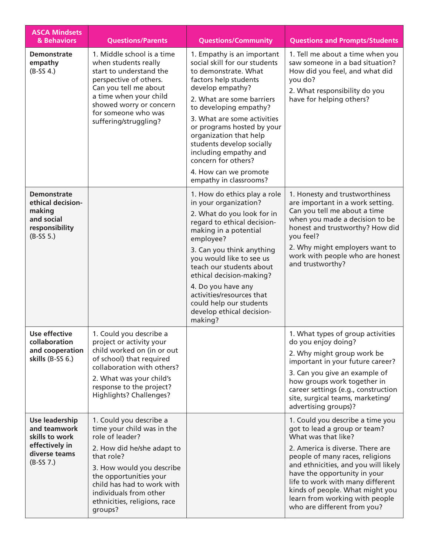| <b>ASCA Mindsets</b><br>& Behaviors                                                                | <b>Questions/Parents</b>                                                                                                                                                                                                                                                       | <b>Questions/Community</b>                                                                                                                                                                                                                                                                                                                                                                                     | <b>Questions and Prompts/Students</b>                                                                                                                                                                                                                                                                                                                                          |
|----------------------------------------------------------------------------------------------------|--------------------------------------------------------------------------------------------------------------------------------------------------------------------------------------------------------------------------------------------------------------------------------|----------------------------------------------------------------------------------------------------------------------------------------------------------------------------------------------------------------------------------------------------------------------------------------------------------------------------------------------------------------------------------------------------------------|--------------------------------------------------------------------------------------------------------------------------------------------------------------------------------------------------------------------------------------------------------------------------------------------------------------------------------------------------------------------------------|
| <b>Demonstrate</b><br>empathy<br>$(B-SS 4.)$                                                       | 1. Middle school is a time<br>when students really<br>start to understand the<br>perspective of others.<br>Can you tell me about<br>a time when your child<br>showed worry or concern<br>for someone who was<br>suffering/struggling?                                          | 1. Empathy is an important<br>social skill for our students<br>to demonstrate. What<br>factors help students<br>develop empathy?<br>2. What are some barriers<br>to developing empathy?<br>3. What are some activities<br>or programs hosted by your<br>organization that help<br>students develop socially<br>including empathy and<br>concern for others?<br>4. How can we promote<br>empathy in classrooms? | 1. Tell me about a time when you<br>saw someone in a bad situation?<br>How did you feel, and what did<br>you do?<br>2. What responsibility do you<br>have for helping others?                                                                                                                                                                                                  |
| <b>Demonstrate</b><br>ethical decision-<br>making<br>and social<br>responsibility<br>$(B-SS 5.)$   |                                                                                                                                                                                                                                                                                | 1. How do ethics play a role<br>in your organization?<br>2. What do you look for in<br>regard to ethical decision-<br>making in a potential<br>employee?<br>3. Can you think anything<br>you would like to see us<br>teach our students about<br>ethical decision-making?<br>4. Do you have any<br>activities/resources that<br>could help our students<br>develop ethical decision-<br>making?                | 1. Honesty and trustworthiness<br>are important in a work setting.<br>Can you tell me about a time<br>when you made a decision to be<br>honest and trustworthy? How did<br>you feel?<br>2. Why might employers want to<br>work with people who are honest<br>and trustworthy?                                                                                                  |
| <b>Use effective</b><br>collaboration<br>and cooperation<br>skills $(B-SS 6.)$                     | 1. Could you describe a<br>project or activity your<br>child worked on (in or out<br>of school) that required<br>collaboration with others?<br>2. What was your child's<br>response to the project?<br>Highlights? Challenges?                                                 |                                                                                                                                                                                                                                                                                                                                                                                                                | 1. What types of group activities<br>do you enjoy doing?<br>2. Why might group work be<br>important in your future career?<br>3. Can you give an example of<br>how groups work together in<br>career settings (e.g., construction<br>site, surgical teams, marketing/<br>advertising groups)?                                                                                  |
| Use leadership<br>and teamwork<br>skills to work<br>effectively in<br>diverse teams<br>$(B-SS 7.)$ | 1. Could you describe a<br>time your child was in the<br>role of leader?<br>2. How did he/she adapt to<br>that role?<br>3. How would you describe<br>the opportunities your<br>child has had to work with<br>individuals from other<br>ethnicities, religions, race<br>groups? |                                                                                                                                                                                                                                                                                                                                                                                                                | 1. Could you describe a time you<br>got to lead a group or team?<br>What was that like?<br>2. America is diverse. There are<br>people of many races, religions<br>and ethnicities, and you will likely<br>have the opportunity in your<br>life to work with many different<br>kinds of people. What might you<br>learn from working with people<br>who are different from you? |